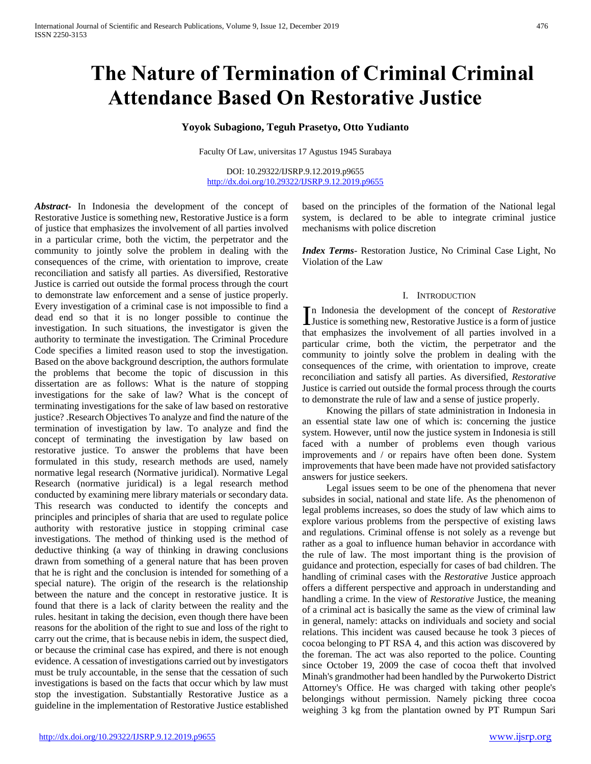# **The Nature of Termination of Criminal Criminal Attendance Based On Restorative Justice**

# **Yoyok Subagiono, Teguh Prasetyo, Otto Yudianto**

Faculty Of Law, universitas 17 Agustus 1945 Surabaya

DOI: 10.29322/IJSRP.9.12.2019.p9655 <http://dx.doi.org/10.29322/IJSRP.9.12.2019.p9655>

*Abstract***-** In Indonesia the development of the concept of Restorative Justice is something new, Restorative Justice is a form of justice that emphasizes the involvement of all parties involved in a particular crime, both the victim, the perpetrator and the community to jointly solve the problem in dealing with the consequences of the crime, with orientation to improve, create reconciliation and satisfy all parties. As diversified, Restorative Justice is carried out outside the formal process through the court to demonstrate law enforcement and a sense of justice properly. Every investigation of a criminal case is not impossible to find a dead end so that it is no longer possible to continue the investigation. In such situations, the investigator is given the authority to terminate the investigation. The Criminal Procedure Code specifies a limited reason used to stop the investigation. Based on the above background description, the authors formulate the problems that become the topic of discussion in this dissertation are as follows: What is the nature of stopping investigations for the sake of law? What is the concept of terminating investigations for the sake of law based on restorative justice? .Research Objectives To analyze and find the nature of the termination of investigation by law. To analyze and find the concept of terminating the investigation by law based on restorative justice. To answer the problems that have been formulated in this study, research methods are used, namely normative legal research (Normative juridical). Normative Legal Research (normative juridical) is a legal research method conducted by examining mere library materials or secondary data. This research was conducted to identify the concepts and principles and principles of sharia that are used to regulate police authority with restorative justice in stopping criminal case investigations. The method of thinking used is the method of deductive thinking (a way of thinking in drawing conclusions drawn from something of a general nature that has been proven that he is right and the conclusion is intended for something of a special nature). The origin of the research is the relationship between the nature and the concept in restorative justice. It is found that there is a lack of clarity between the reality and the rules. hesitant in taking the decision, even though there have been reasons for the abolition of the right to sue and loss of the right to carry out the crime, that is because nebis in idem, the suspect died, or because the criminal case has expired, and there is not enough evidence. A cessation of investigations carried out by investigators must be truly accountable, in the sense that the cessation of such investigations is based on the facts that occur which by law must stop the investigation. Substantially Restorative Justice as a guideline in the implementation of Restorative Justice established based on the principles of the formation of the National legal system, is declared to be able to integrate criminal justice mechanisms with police discretion

*Index Terms*- Restoration Justice, No Criminal Case Light, No Violation of the Law

## I. INTRODUCTION

n Indonesia the development of the concept of *Restorative* In Indonesia the development of the concept of  $Restrative$  Justice is something new, Restorative Justice is a form of justice that emphasizes the involvement of all parties involved in a particular crime, both the victim, the perpetrator and the community to jointly solve the problem in dealing with the consequences of the crime, with orientation to improve, create reconciliation and satisfy all parties. As diversified, *Restorative* Justice is carried out outside the formal process through the courts to demonstrate the rule of law and a sense of justice properly.

 Knowing the pillars of state administration in Indonesia in an essential state law one of which is: concerning the justice system. However, until now the justice system in Indonesia is still faced with a number of problems even though various improvements and / or repairs have often been done. System improvements that have been made have not provided satisfactory answers for justice seekers.

 Legal issues seem to be one of the phenomena that never subsides in social, national and state life. As the phenomenon of legal problems increases, so does the study of law which aims to explore various problems from the perspective of existing laws and regulations. Criminal offense is not solely as a revenge but rather as a goal to influence human behavior in accordance with the rule of law. The most important thing is the provision of guidance and protection, especially for cases of bad children. The handling of criminal cases with the *Restorative* Justice approach offers a different perspective and approach in understanding and handling a crime. In the view of *Restorative* Justice, the meaning of a criminal act is basically the same as the view of criminal law in general, namely: attacks on individuals and society and social relations. This incident was caused because he took 3 pieces of cocoa belonging to PT RSA 4, and this action was discovered by the foreman. The act was also reported to the police. Counting since October 19, 2009 the case of cocoa theft that involved Minah's grandmother had been handled by the Purwokerto District Attorney's Office. He was charged with taking other people's belongings without permission. Namely picking three cocoa weighing 3 kg from the plantation owned by PT Rumpun Sari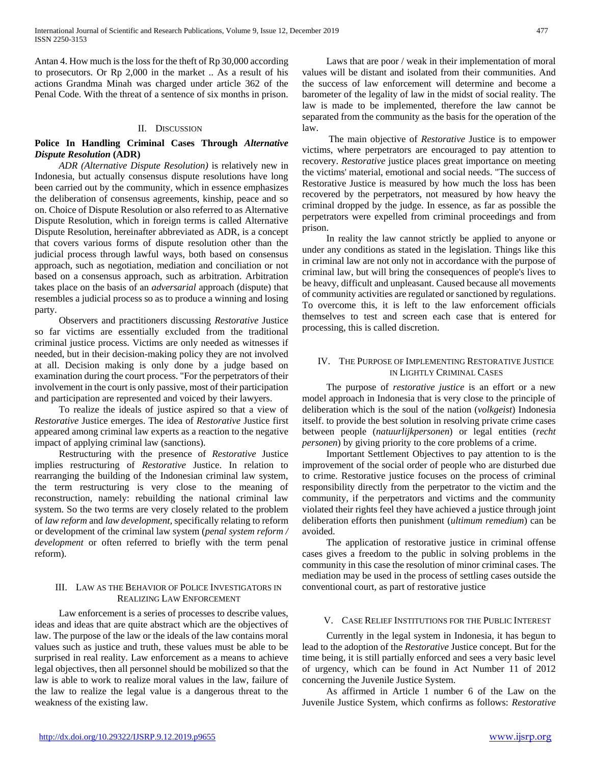Antan 4. How much is the loss for the theft of Rp 30,000 according to prosecutors. Or Rp 2,000 in the market .. As a result of his actions Grandma Minah was charged under article 362 of the Penal Code. With the threat of a sentence of six months in prison.

#### II. DISCUSSION

# **Police In Handling Criminal Cases Through** *Alternative Dispute Resolution* **(ADR)**

 *ADR (Alternative Dispute Resolution)* is relatively new in Indonesia, but actually consensus dispute resolutions have long been carried out by the community, which in essence emphasizes the deliberation of consensus agreements, kinship, peace and so on. Choice of Dispute Resolution or also referred to as Alternative Dispute Resolution, which in foreign terms is called Alternative Dispute Resolution, hereinafter abbreviated as ADR, is a concept that covers various forms of dispute resolution other than the judicial process through lawful ways, both based on consensus approach, such as negotiation, mediation and conciliation or not based on a consensus approach, such as arbitration. Arbitration takes place on the basis of an *adversarial* approach (dispute) that resembles a judicial process so as to produce a winning and losing party.

 Observers and practitioners discussing *Restorative* Justice so far victims are essentially excluded from the traditional criminal justice process. Victims are only needed as witnesses if needed, but in their decision-making policy they are not involved at all. Decision making is only done by a judge based on examination during the court process. "For the perpetrators of their involvement in the court is only passive, most of their participation and participation are represented and voiced by their lawyers.

 To realize the ideals of justice aspired so that a view of *Restorative* Justice emerges. The idea of *Restorative* Justice first appeared among criminal law experts as a reaction to the negative impact of applying criminal law (sanctions).

 Restructuring with the presence of *Restorative* Justice implies restructuring of *Restorative* Justice. In relation to rearranging the building of the Indonesian criminal law system, the term restructuring is very close to the meaning of reconstruction, namely: rebuilding the national criminal law system. So the two terms are very closely related to the problem of *law reform* and *law development,* specifically relating to reform or development of the criminal law system (*penal system reform / development* or often referred to briefly with the term penal reform).

# III. LAW AS THE BEHAVIOR OF POLICE INVESTIGATORS IN REALIZING LAW ENFORCEMENT

 Law enforcement is a series of processes to describe values, ideas and ideas that are quite abstract which are the objectives of law. The purpose of the law or the ideals of the law contains moral values such as justice and truth, these values must be able to be surprised in real reality. Law enforcement as a means to achieve legal objectives, then all personnel should be mobilized so that the law is able to work to realize moral values in the law, failure of the law to realize the legal value is a dangerous threat to the weakness of the existing law.

 Laws that are poor / weak in their implementation of moral values will be distant and isolated from their communities. And the success of law enforcement will determine and become a barometer of the legality of law in the midst of social reality. The law is made to be implemented, therefore the law cannot be separated from the community as the basis for the operation of the law.

 The main objective of *Restorative* Justice is to empower victims, where perpetrators are encouraged to pay attention to recovery. *Restorative* justice places great importance on meeting the victims' material, emotional and social needs. "The success of Restorative Justice is measured by how much the loss has been recovered by the perpetrators, not measured by how heavy the criminal dropped by the judge. In essence, as far as possible the perpetrators were expelled from criminal proceedings and from prison.

 In reality the law cannot strictly be applied to anyone or under any conditions as stated in the legislation. Things like this in criminal law are not only not in accordance with the purpose of criminal law, but will bring the consequences of people's lives to be heavy, difficult and unpleasant. Caused because all movements of community activities are regulated or sanctioned by regulations. To overcome this, it is left to the law enforcement officials themselves to test and screen each case that is entered for processing, this is called discretion.

## IV. THE PURPOSE OF IMPLEMENTING RESTORATIVE JUSTICE IN LIGHTLY CRIMINAL CASES

 The purpose of *restorative justice* is an effort or a new model approach in Indonesia that is very close to the principle of deliberation which is the soul of the nation (*volkgeist*) Indonesia itself. to provide the best solution in resolving private crime cases between people (*natuurlijkpersonen*) or legal entities (*recht personen*) by giving priority to the core problems of a crime.

 Important Settlement Objectives to pay attention to is the improvement of the social order of people who are disturbed due to crime. Restorative justice focuses on the process of criminal responsibility directly from the perpetrator to the victim and the community, if the perpetrators and victims and the community violated their rights feel they have achieved a justice through joint deliberation efforts then punishment (*ultimum remedium*) can be avoided.

 The application of restorative justice in criminal offense cases gives a freedom to the public in solving problems in the community in this case the resolution of minor criminal cases. The mediation may be used in the process of settling cases outside the conventional court, as part of restorative justice

#### V. CASE RELIEF INSTITUTIONS FOR THE PUBLIC INTEREST

 Currently in the legal system in Indonesia, it has begun to lead to the adoption of the *Restorative* Justice concept. But for the time being, it is still partially enforced and sees a very basic level of urgency, which can be found in Act Number 11 of 2012 concerning the Juvenile Justice System.

 As affirmed in Article 1 number 6 of the Law on the Juvenile Justice System, which confirms as follows: *Restorative*